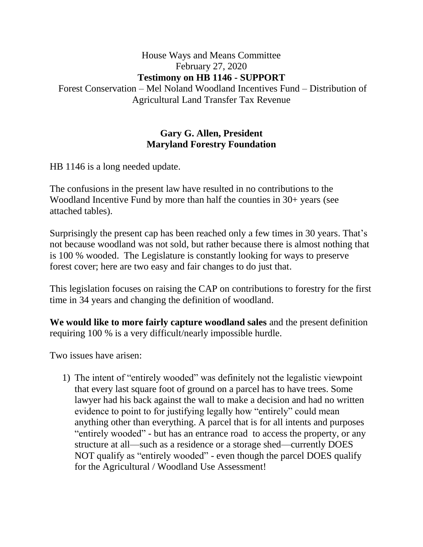## House Ways and Means Committee February 27, 2020 **Testimony on HB 1146 - SUPPORT** Forest Conservation – Mel Noland Woodland Incentives Fund – Distribution of Agricultural Land Transfer Tax Revenue

## **Gary G. Allen, President Maryland Forestry Foundation**

HB 1146 is a long needed update.

The confusions in the present law have resulted in no contributions to the Woodland Incentive Fund by more than half the counties in 30+ years (see attached tables).

Surprisingly the present cap has been reached only a few times in 30 years. That's not because woodland was not sold, but rather because there is almost nothing that is 100 % wooded. The Legislature is constantly looking for ways to preserve forest cover; here are two easy and fair changes to do just that.

This legislation focuses on raising the CAP on contributions to forestry for the first time in 34 years and changing the definition of woodland.

**We would like to more fairly capture woodland sales** and the present definition requiring 100 % is a very difficult/nearly impossible hurdle.

Two issues have arisen:

1) The intent of "entirely wooded" was definitely not the legalistic viewpoint that every last square foot of ground on a parcel has to have trees. Some lawyer had his back against the wall to make a decision and had no written evidence to point to for justifying legally how "entirely" could mean anything other than everything. A parcel that is for all intents and purposes "entirely wooded" - but has an entrance road to access the property, or any structure at all—such as a residence or a storage shed—currently DOES NOT qualify as "entirely wooded" - even though the parcel DOES qualify for the Agricultural / Woodland Use Assessment!